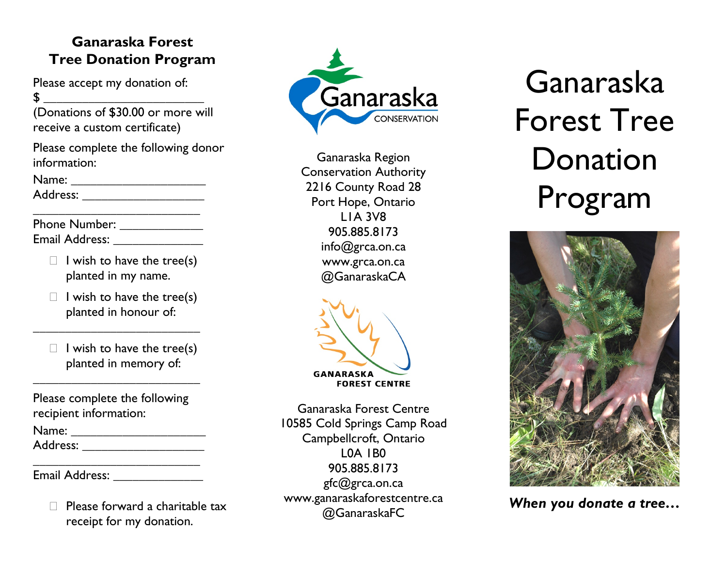## **Ganaraska Forest Tree Donation Program**

Please accept my donation of: \$ \_\_\_\_\_\_\_\_\_\_\_\_\_\_\_\_\_\_\_\_\_\_\_\_\_

(Donations of \$30.00 or more will receive a custom certificate)

Please complete the following donor information:

Address: \_\_\_\_\_\_\_\_\_\_\_\_\_\_\_\_\_\_\_

Phone Number: \_\_\_\_\_\_\_\_\_\_\_\_\_ Email Address: **Email Address:** 

 $\Box$  I wish to have the tree(s) planted in my name.

\_\_\_\_\_\_\_\_\_\_\_\_\_\_\_\_\_\_\_\_\_\_\_\_\_\_

 $\Box$  I wish to have the tree(s) planted in honour of:

\_\_\_\_\_\_\_\_\_\_\_\_\_\_\_\_\_\_\_\_\_\_\_\_\_\_

 $\Box$  I wish to have the tree(s) planted in memory of:

Please complete the following recipient information:

\_\_\_\_\_\_\_\_\_\_\_\_\_\_\_\_\_\_\_\_\_\_\_\_\_\_

| Name: |  |  |  |
|-------|--|--|--|
|       |  |  |  |

Address: \_\_\_\_\_\_\_\_\_\_\_\_\_\_\_\_\_\_\_

\_\_\_\_\_\_\_\_\_\_\_\_\_\_\_\_\_\_\_\_\_\_\_\_\_\_ Email Address:

> Please forward a charitable tax receipt for my donation.



Ganaraska Region Conservation Authority 2216 County Road 28 Port Hope, Ontario L1A 3V8 905.885.8173 info@grca.on.ca www.grca.on.ca @GanaraskaCA



Ganaraska Forest Centre 10585 Cold Springs Camp Road Campbellcroft, Ontario L0A 1B0 905.885.8173 gfc@grca.on.ca www.ganaraskaforestcentre.ca @GanaraskaFC

Ganaraska Forest Tree Donation Program



*When you donate a tree…*